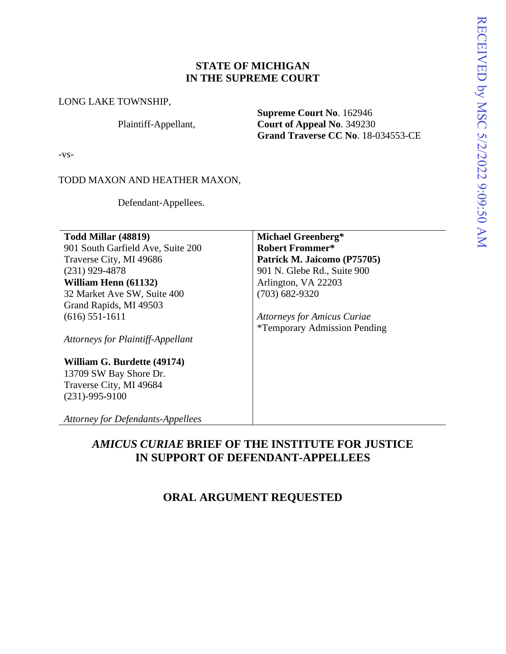## **STATE OF MICHIGAN IN THE SUPREME COURT**

#### LONG LAKE TOWNSHIP,

Plaintiff-Appellant,

**Supreme Court No**. 162946 **Court of Appeal No**. 349230 **Grand Traverse CC No**. 18-034553-CE

-vs-

TODD MAXON AND HEATHER MAXON,

Defendant-Appellees.

**Todd Millar (48819)** 901 South Garfield Ave, Suite 200 Traverse City, MI 49686 (231) 929-4878 **William Henn (61132)**  32 Market Ave SW, Suite 400 Grand Rapids, MI 49503 (616) 551-1611

*Attorneys for Plaintiff-Appellant* 

### **William G. Burdette (49174)** 13709 SW Bay Shore Dr. Traverse City, MI 49684

(231)-995-9100 *Attorney for Defendants-Appellees*

**Michael Greenberg\* Robert Frommer\* Patrick M. Jaicomo (P75705)**  901 N. Glebe Rd., Suite 900 Arlington, VA 22203 (703) 682-9320

*Attorneys for Amicus Curiae* \*Temporary Admission Pending

# *AMICUS CURIAE* **BRIEF OF THE INSTITUTE FOR JUSTICE IN SUPPORT OF DEFENDANT-APPELLEES**

## **ORAL ARGUMENT REQUESTED**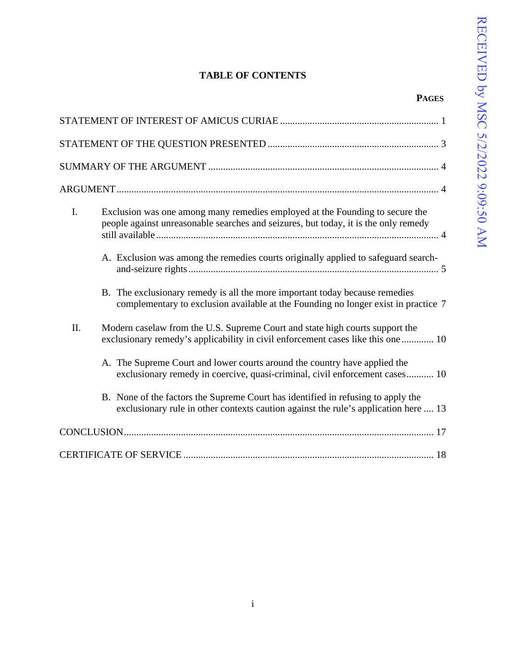**PAGES**

# **TABLE OF CONTENTS**

| I.  | Exclusion was one among many remedies employed at the Founding to secure the<br>people against unreasonable searches and seizures, but today, it is the only remedy     |
|-----|-------------------------------------------------------------------------------------------------------------------------------------------------------------------------|
|     | A. Exclusion was among the remedies courts originally applied to safeguard search-                                                                                      |
|     | B. The exclusionary remedy is all the more important today because remedies<br>complementary to exclusion available at the Founding no longer exist in practice 7       |
| II. | Modern caselaw from the U.S. Supreme Court and state high courts support the<br>exclusionary remedy's applicability in civil enforcement cases like this one  10        |
|     | A. The Supreme Court and lower courts around the country have applied the<br>exclusionary remedy in coercive, quasi-criminal, civil enforcement cases 10                |
|     | B. None of the factors the Supreme Court has identified in refusing to apply the<br>exclusionary rule in other contexts caution against the rule's application here  13 |
|     |                                                                                                                                                                         |
|     |                                                                                                                                                                         |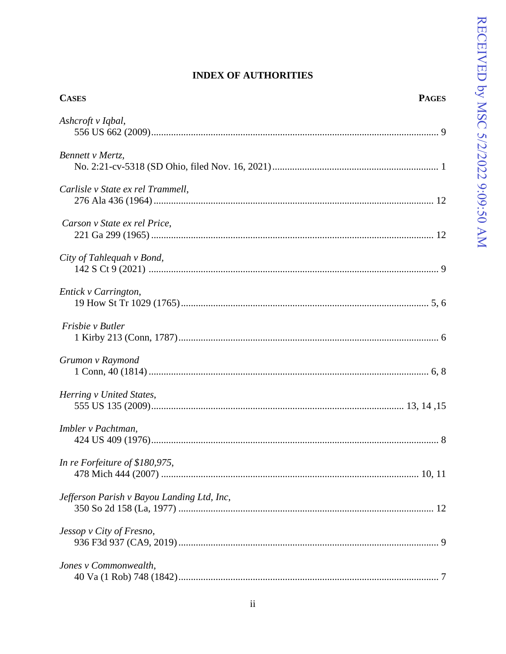## **INDEX OF AUTHORITIES**

| <b>CASES</b>                               | <b>PAGES</b> |
|--------------------------------------------|--------------|
| Ashcroft v Iqbal,                          |              |
| Bennett v Mertz,                           |              |
|                                            |              |
| Carlisle v State ex rel Trammell,          |              |
| Carson v State ex rel Price,               |              |
| City of Tahlequah v Bond,                  |              |
| Entick v Carrington,                       |              |
| Frisbie v Butler                           |              |
| Grumon v Raymond                           |              |
| Herring v United States,                   |              |
| Imbler v Pachtman,                         |              |
| In re Forfeiture of \$180,975,             |              |
| Jefferson Parish v Bayou Landing Ltd, Inc, |              |
| Jessop v City of Fresno,                   |              |
| Jones v Commonwealth,                      |              |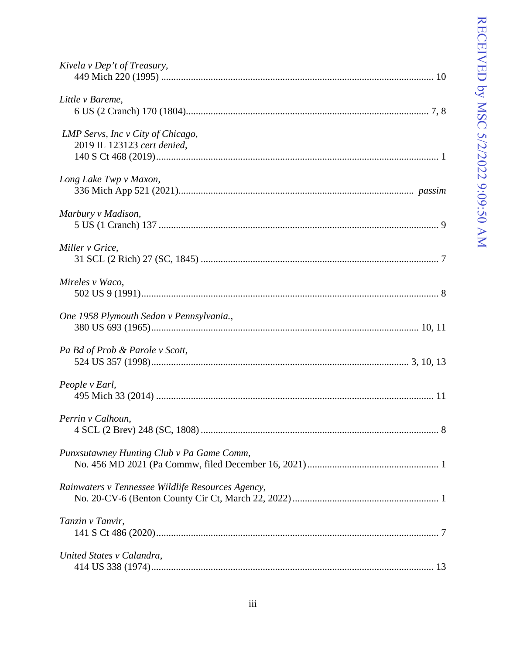| Kivela v Dep't of Treasury,                                      |
|------------------------------------------------------------------|
| Little v Bareme,                                                 |
| LMP Servs, Inc v City of Chicago,<br>2019 IL 123123 cert denied, |
| Long Lake Twp v Maxon,                                           |
| Marbury v Madison,                                               |
| Miller v Grice,                                                  |
| Mireles v Waco,                                                  |
| One 1958 Plymouth Sedan v Pennsylvania.,                         |
| Pa Bd of Prob & Parole v Scott,                                  |
| People v Earl,                                                   |
| Perrin v Calhoun,                                                |
| Punxsutawney Hunting Club v Pa Game Comm,                        |
| Rainwaters v Tennessee Wildlife Resources Agency,                |
| Tanzin v Tanvir,                                                 |
| United States v Calandra,                                        |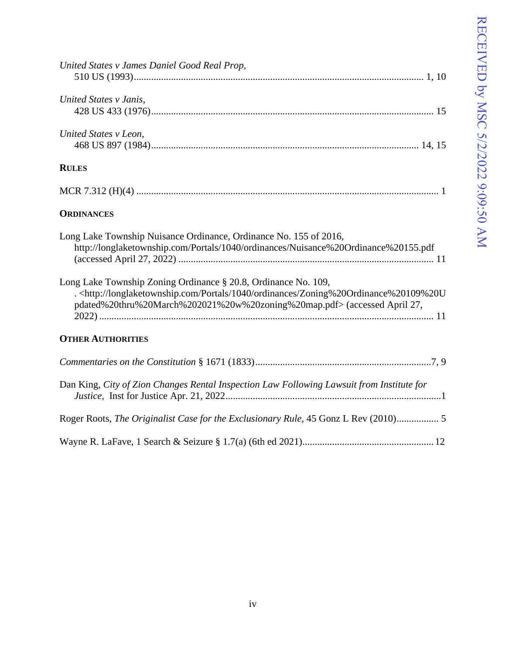| United States v James Daniel Good Real Prop,                                                                                                                                                                                                               |
|------------------------------------------------------------------------------------------------------------------------------------------------------------------------------------------------------------------------------------------------------------|
| United States v Janis,                                                                                                                                                                                                                                     |
| United States v Leon,                                                                                                                                                                                                                                      |
| <b>RULES</b>                                                                                                                                                                                                                                               |
|                                                                                                                                                                                                                                                            |
| <b>ORDINANCES</b>                                                                                                                                                                                                                                          |
| Long Lake Township Nuisance Ordinance, Ordinance No. 155 of 2016,<br>http://longlaketownship.com/Portals/1040/ordinances/Nuisance%20Ordinance%20155.pdf                                                                                                    |
| Long Lake Township Zoning Ordinance § 20.8, Ordinance No. 109,<br>. <http: 1040="" longlaketownship.com="" ordinances="" portals="" zoning%20ordinance%20109%20u<br="">pdated%20thru%20March%202021%20w%20zoning%20map.pdf&gt; (accessed April 27,</http:> |
| <b>OTHER AUTHORITIES</b>                                                                                                                                                                                                                                   |
|                                                                                                                                                                                                                                                            |
| Dan King, City of Zion Changes Rental Inspection Law Following Lawsuit from Institute for                                                                                                                                                                  |
| Roger Roots, The Originalist Case for the Exclusionary Rule, 45 Gonz L Rev (2010) 5                                                                                                                                                                        |
|                                                                                                                                                                                                                                                            |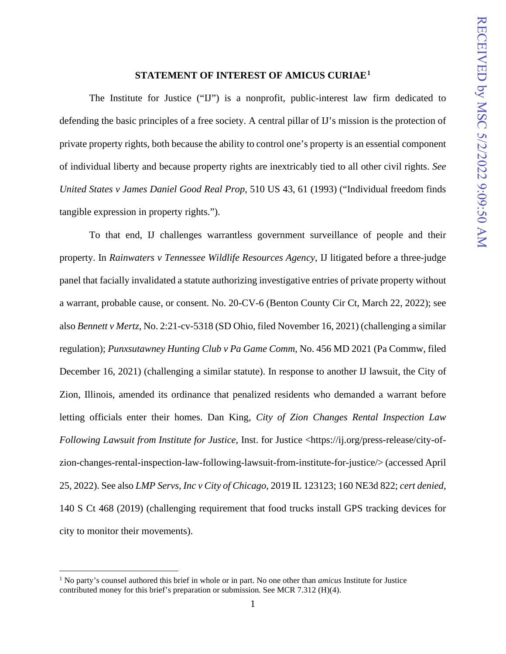#### **STATEMENT OF INTEREST OF AMICUS CURIAE[1](#page-5-0)**

The Institute for Justice ("IJ") is a nonprofit, public-interest law firm dedicated to defending the basic principles of a free society. A central pillar of IJ's mission is the protection of private property rights, both because the ability to control one's property is an essential component of individual liberty and because property rights are inextricably tied to all other civil rights. *See United States v James Daniel Good Real Prop*, 510 US 43, 61 (1993) ("Individual freedom finds tangible expression in property rights.").

To that end, IJ challenges warrantless government surveillance of people and their property. In *Rainwaters v Tennessee Wildlife Resources Agency*, IJ litigated before a three-judge panel that facially invalidated a statute authorizing investigative entries of private property without a warrant, probable cause, or consent. No. 20-CV-6 (Benton County Cir Ct, March 22, 2022); see also *Bennett v Mertz*, No. 2:21-cv-5318 (SD Ohio, filed November 16, 2021) (challenging a similar regulation); *Punxsutawney Hunting Club v Pa Game Comm*, No. 456 MD 2021 (Pa Commw, filed December 16, 2021) (challenging a similar statute). In response to another IJ lawsuit, the City of Zion, Illinois, amended its ordinance that penalized residents who demanded a warrant before letting officials enter their homes. Dan King, *City of Zion Changes Rental Inspection Law Following Lawsuit from Institute for Justice*, Inst. for Justice <https://ij.org/press-release/city-ofzion-changes-rental-inspection-law-following-lawsuit-from-institute-for-justice/> (accessed April 25, 2022). See also *LMP Servs, Inc v City of Chicago*, 2019 IL 123123; 160 NE3d 822; *cert denied*, 140 S Ct 468 (2019) (challenging requirement that food trucks install GPS tracking devices for city to monitor their movements).

<span id="page-5-0"></span><sup>1</sup> No party's counsel authored this brief in whole or in part. No one other than *amicus* Institute for Justice contributed money for this brief's preparation or submission. See MCR 7.312 (H)(4).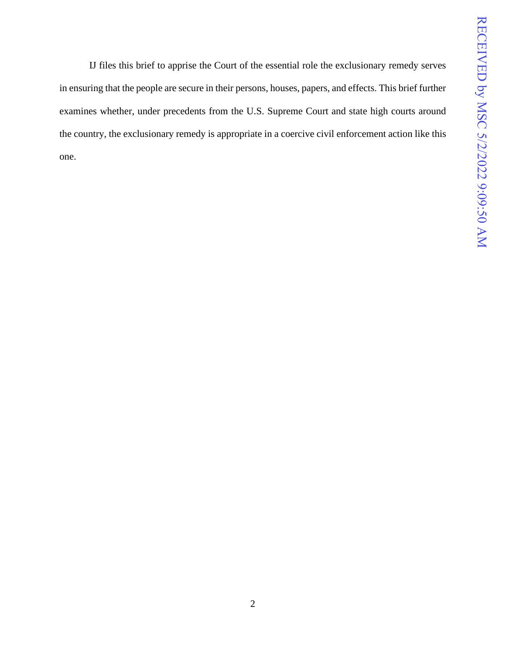IJ files this brief to apprise the Court of the essential role the exclusionary remedy serves in ensuring that the people are secure in their persons, houses, papers, and effects. This brief further examines whether, under precedents from the U.S. Supreme Court and state high courts around the country, the exclusionary remedy is appropriate in a coercive civil enforcement action like this one.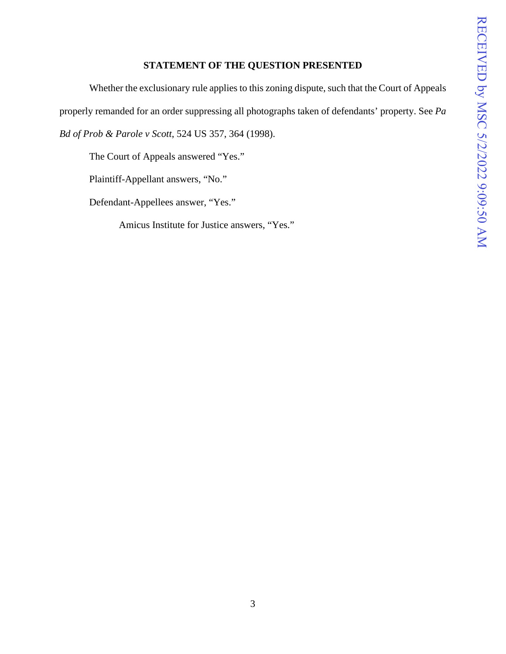## **STATEMENT OF THE QUESTION PRESENTED**

Whether the exclusionary rule applies to this zoning dispute, such that the Court of Appeals properly remanded for an order suppressing all photographs taken of defendants' property. See *Pa Bd of Prob & Parole v Scott*, 524 US 357, 364 (1998).

The Court of Appeals answered "Yes."

Plaintiff-Appellant answers, "No."

Defendant-Appellees answer, "Yes."

Amicus Institute for Justice answers, "Yes."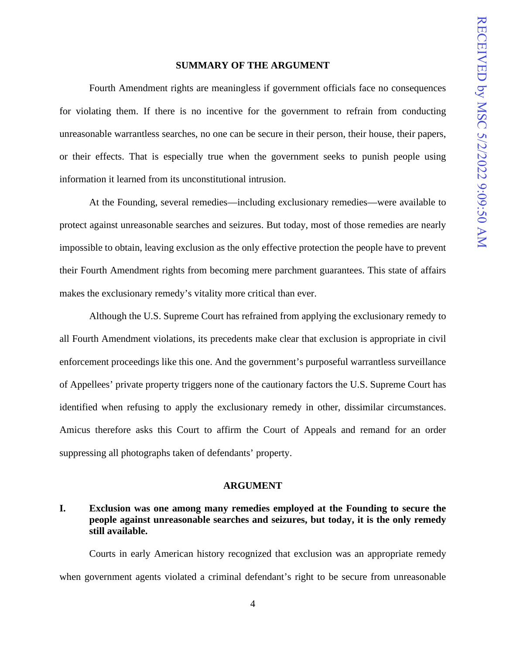#### **SUMMARY OF THE ARGUMENT**

Fourth Amendment rights are meaningless if government officials face no consequences for violating them. If there is no incentive for the government to refrain from conducting unreasonable warrantless searches, no one can be secure in their person, their house, their papers, or their effects. That is especially true when the government seeks to punish people using information it learned from its unconstitutional intrusion.

At the Founding, several remedies—including exclusionary remedies—were available to protect against unreasonable searches and seizures. But today, most of those remedies are nearly impossible to obtain, leaving exclusion as the only effective protection the people have to prevent their Fourth Amendment rights from becoming mere parchment guarantees. This state of affairs makes the exclusionary remedy's vitality more critical than ever.

Although the U.S. Supreme Court has refrained from applying the exclusionary remedy to all Fourth Amendment violations, its precedents make clear that exclusion is appropriate in civil enforcement proceedings like this one. And the government's purposeful warrantless surveillance of Appellees' private property triggers none of the cautionary factors the U.S. Supreme Court has identified when refusing to apply the exclusionary remedy in other, dissimilar circumstances. Amicus therefore asks this Court to affirm the Court of Appeals and remand for an order suppressing all photographs taken of defendants' property.

#### **ARGUMENT**

## **I. Exclusion was one among many remedies employed at the Founding to secure the people against unreasonable searches and seizures, but today, it is the only remedy still available.**

Courts in early American history recognized that exclusion was an appropriate remedy when government agents violated a criminal defendant's right to be secure from unreasonable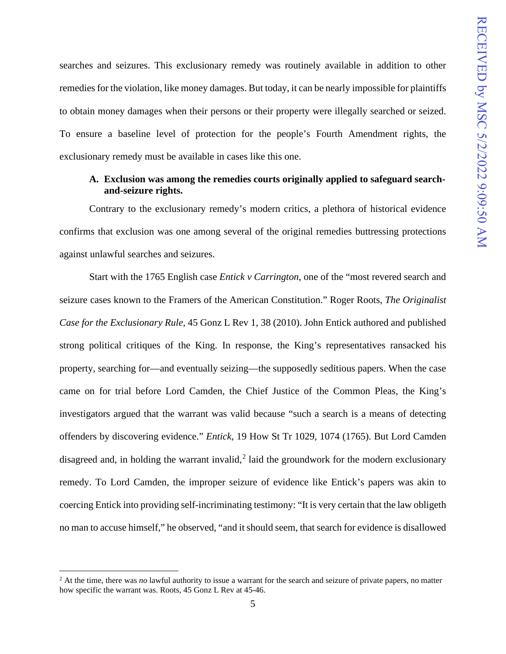searches and seizures. This exclusionary remedy was routinely available in addition to other remedies for the violation, like money damages. But today, it can be nearly impossible for plaintiffs to obtain money damages when their persons or their property were illegally searched or seized. To ensure a baseline level of protection for the people's Fourth Amendment rights, the exclusionary remedy must be available in cases like this one.

## **A. Exclusion was among the remedies courts originally applied to safeguard searchand-seizure rights.**

Contrary to the exclusionary remedy's modern critics, a plethora of historical evidence confirms that exclusion was one among several of the original remedies buttressing protections against unlawful searches and seizures.

Start with the 1765 English case *Entick v Carrington*, one of the "most revered search and seizure cases known to the Framers of the American Constitution." Roger Roots, *The Originalist Case for the Exclusionary Rule*, 45 Gonz L Rev 1, 38 (2010). John Entick authored and published strong political critiques of the King. In response, the King's representatives ransacked his property, searching for—and eventually seizing—the supposedly seditious papers. When the case came on for trial before Lord Camden, the Chief Justice of the Common Pleas, the King's investigators argued that the warrant was valid because "such a search is a means of detecting offenders by discovering evidence." *Entick*, 19 How St Tr 1029, 1074 (1765). But Lord Camden disagreed and, in holding the warrant invalid,<sup>[2](#page-9-0)</sup> laid the groundwork for the modern exclusionary remedy. To Lord Camden, the improper seizure of evidence like Entick's papers was akin to coercing Entick into providing self-incriminating testimony: "It is very certain that the law obligeth no man to accuse himself," he observed, "and it should seem, that search for evidence is disallowed

<span id="page-9-0"></span><sup>&</sup>lt;sup>2</sup> At the time, there was *no* lawful authority to issue a warrant for the search and seizure of private papers, no matter how specific the warrant was. Roots, 45 Gonz L Rev at 45-46.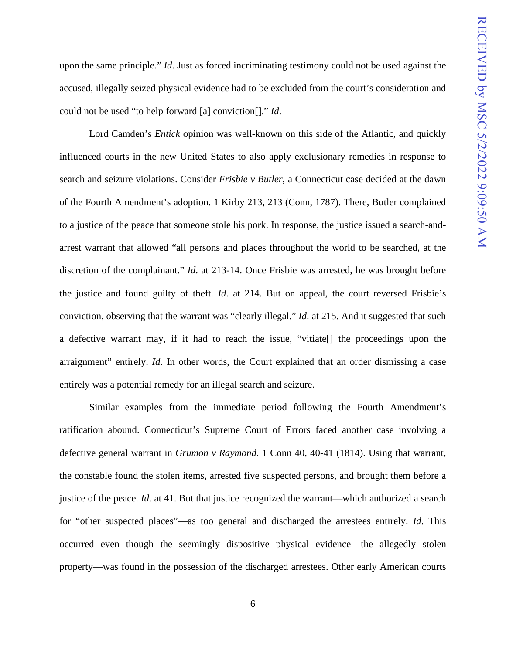upon the same principle." *Id*. Just as forced incriminating testimony could not be used against the accused, illegally seized physical evidence had to be excluded from the court's consideration and could not be used "to help forward [a] conviction[]." *Id*.

Lord Camden's *Entick* opinion was well-known on this side of the Atlantic, and quickly influenced courts in the new United States to also apply exclusionary remedies in response to search and seizure violations. Consider *Frisbie v Butler*, a Connecticut case decided at the dawn of the Fourth Amendment's adoption. 1 Kirby 213, 213 (Conn, 1787). There, Butler complained to a justice of the peace that someone stole his pork. In response, the justice issued a search-andarrest warrant that allowed "all persons and places throughout the world to be searched, at the discretion of the complainant." *Id*. at 213-14. Once Frisbie was arrested, he was brought before the justice and found guilty of theft. *Id*. at 214. But on appeal, the court reversed Frisbie's conviction, observing that the warrant was "clearly illegal." *Id*. at 215. And it suggested that such a defective warrant may, if it had to reach the issue, "vitiate[] the proceedings upon the arraignment" entirely. *Id*. In other words, the Court explained that an order dismissing a case entirely was a potential remedy for an illegal search and seizure.

Similar examples from the immediate period following the Fourth Amendment's ratification abound. Connecticut's Supreme Court of Errors faced another case involving a defective general warrant in *Grumon v Raymond*. 1 Conn 40, 40-41 (1814). Using that warrant, the constable found the stolen items, arrested five suspected persons, and brought them before a justice of the peace. *Id*. at 41. But that justice recognized the warrant—which authorized a search for "other suspected places"—as too general and discharged the arrestees entirely. *Id*. This occurred even though the seemingly dispositive physical evidence—the allegedly stolen property—was found in the possession of the discharged arrestees. Other early American courts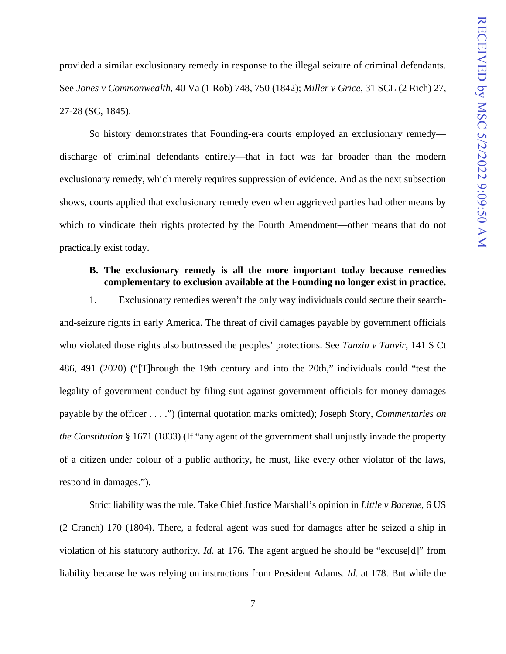provided a similar exclusionary remedy in response to the illegal seizure of criminal defendants. See *Jones v Commonwealth*, 40 Va (1 Rob) 748, 750 (1842); *Miller v Grice*, 31 SCL (2 Rich) 27, 27-28 (SC, 1845).

So history demonstrates that Founding-era courts employed an exclusionary remedy discharge of criminal defendants entirely—that in fact was far broader than the modern exclusionary remedy, which merely requires suppression of evidence. And as the next subsection shows, courts applied that exclusionary remedy even when aggrieved parties had other means by which to vindicate their rights protected by the Fourth Amendment—other means that do not practically exist today.

### **B. The exclusionary remedy is all the more important today because remedies complementary to exclusion available at the Founding no longer exist in practice.**

1. Exclusionary remedies weren't the only way individuals could secure their searchand-seizure rights in early America. The threat of civil damages payable by government officials who violated those rights also buttressed the peoples' protections. See *Tanzin v Tanvir*, 141 S Ct 486, 491 (2020) ("[T]hrough the 19th century and into the 20th," individuals could "test the legality of government conduct by filing suit against government officials for money damages payable by the officer . . . .") (internal quotation marks omitted); Joseph Story, *Commentaries on the Constitution* § 1671 (1833) (If "any agent of the government shall unjustly invade the property of a citizen under colour of a public authority, he must, like every other violator of the laws, respond in damages.").

Strict liability was the rule. Take Chief Justice Marshall's opinion in *Little v Bareme*, 6 US (2 Cranch) 170 (1804). There, a federal agent was sued for damages after he seized a ship in violation of his statutory authority. *Id*. at 176. The agent argued he should be "excuse[d]" from liability because he was relying on instructions from President Adams. *Id*. at 178. But while the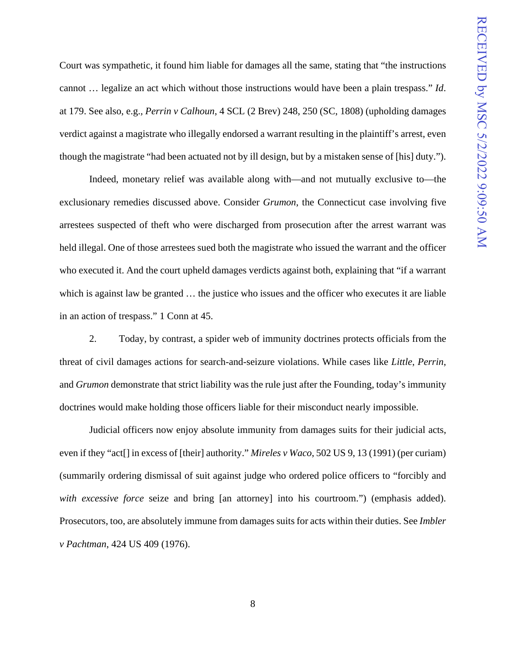Court was sympathetic, it found him liable for damages all the same, stating that "the instructions cannot … legalize an act which without those instructions would have been a plain trespass." *Id*. at 179. See also, e.g.*, Perrin v Calhoun*, 4 SCL (2 Brev) 248, 250 (SC, 1808) (upholding damages verdict against a magistrate who illegally endorsed a warrant resulting in the plaintiff's arrest, even though the magistrate "had been actuated not by ill design, but by a mistaken sense of [his] duty.").

Indeed, monetary relief was available along with—and not mutually exclusive to—the exclusionary remedies discussed above. Consider *Grumon*, the Connecticut case involving five arrestees suspected of theft who were discharged from prosecution after the arrest warrant was held illegal. One of those arrestees sued both the magistrate who issued the warrant and the officer who executed it. And the court upheld damages verdicts against both, explaining that "if a warrant which is against law be granted  $\ldots$  the justice who issues and the officer who executes it are liable in an action of trespass." 1 Conn at 45.

2. Today, by contrast, a spider web of immunity doctrines protects officials from the threat of civil damages actions for search-and-seizure violations. While cases like *Little*, *Perrin*, and *Grumon* demonstrate that strict liability was the rule just after the Founding, today's immunity doctrines would make holding those officers liable for their misconduct nearly impossible.

Judicial officers now enjoy absolute immunity from damages suits for their judicial acts, even if they "act[] in excess of [their] authority." *Mireles v Waco*, 502 US 9, 13 (1991) (per curiam) (summarily ordering dismissal of suit against judge who ordered police officers to "forcibly and *with excessive force* seize and bring [an attorney] into his courtroom.") (emphasis added). Prosecutors, too, are absolutely immune from damages suits for acts within their duties. See *Imbler v Pachtman*, 424 US 409 (1976).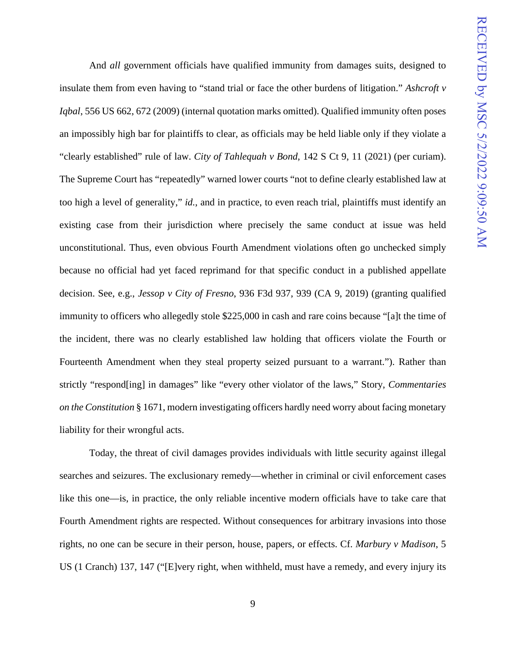And *all* government officials have qualified immunity from damages suits, designed to insulate them from even having to "stand trial or face the other burdens of litigation." *Ashcroft v Iqbal*, 556 US 662, 672 (2009) (internal quotation marks omitted). Qualified immunity often poses an impossibly high bar for plaintiffs to clear, as officials may be held liable only if they violate a "clearly established" rule of law. *City of Tahlequah v Bond*, 142 S Ct 9, 11 (2021) (per curiam). The Supreme Court has "repeatedly" warned lower courts "not to define clearly established law at too high a level of generality," *id.*, and in practice, to even reach trial, plaintiffs must identify an existing case from their jurisdiction where precisely the same conduct at issue was held unconstitutional. Thus, even obvious Fourth Amendment violations often go unchecked simply because no official had yet faced reprimand for that specific conduct in a published appellate decision. See, e.g., *Jessop v City of Fresno*, 936 F3d 937, 939 (CA 9, 2019) (granting qualified immunity to officers who allegedly stole \$225,000 in cash and rare coins because "[a]t the time of the incident, there was no clearly established law holding that officers violate the Fourth or Fourteenth Amendment when they steal property seized pursuant to a warrant."). Rather than strictly "respond[ing] in damages" like "every other violator of the laws," Story, *Commentaries on the Constitution* § 1671, modern investigating officers hardly need worry about facing monetary liability for their wrongful acts.

Today, the threat of civil damages provides individuals with little security against illegal searches and seizures. The exclusionary remedy—whether in criminal or civil enforcement cases like this one—is, in practice, the only reliable incentive modern officials have to take care that Fourth Amendment rights are respected. Without consequences for arbitrary invasions into those rights, no one can be secure in their person, house, papers, or effects. Cf. *Marbury v Madison*, 5 US (1 Cranch) 137, 147 ("[E]very right, when withheld, must have a remedy, and every injury its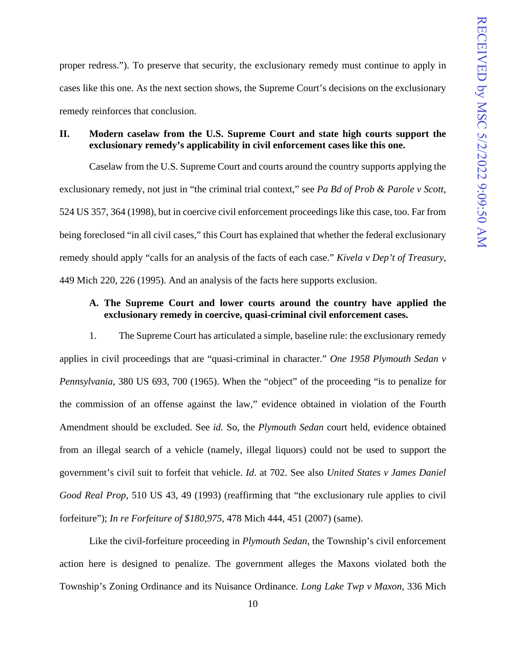proper redress."). To preserve that security, the exclusionary remedy must continue to apply in cases like this one. As the next section shows, the Supreme Court's decisions on the exclusionary remedy reinforces that conclusion.

## **II. Modern caselaw from the U.S. Supreme Court and state high courts support the exclusionary remedy's applicability in civil enforcement cases like this one.**

Caselaw from the U.S. Supreme Court and courts around the country supports applying the exclusionary remedy, not just in "the criminal trial context," see *Pa Bd of Prob & Parole v Scott*, 524 US 357, 364 (1998), but in coercive civil enforcement proceedings like this case, too. Far from being foreclosed "in all civil cases," this Court has explained that whether the federal exclusionary remedy should apply "calls for an analysis of the facts of each case." *Kivela v Dep't of Treasury*, 449 Mich 220, 226 (1995). And an analysis of the facts here supports exclusion.

## **A. The Supreme Court and lower courts around the country have applied the exclusionary remedy in coercive, quasi-criminal civil enforcement cases.**

1. The Supreme Court has articulated a simple, baseline rule: the exclusionary remedy applies in civil proceedings that are "quasi-criminal in character." *One 1958 Plymouth Sedan v Pennsylvania*, 380 US 693, 700 (1965). When the "object" of the proceeding "is to penalize for the commission of an offense against the law," evidence obtained in violation of the Fourth Amendment should be excluded. See *id.* So, the *Plymouth Sedan* court held, evidence obtained from an illegal search of a vehicle (namely, illegal liquors) could not be used to support the government's civil suit to forfeit that vehicle. *Id*. at 702. See also *United States v James Daniel Good Real Prop*, 510 US 43, 49 (1993) (reaffirming that "the exclusionary rule applies to civil forfeiture"); *In re Forfeiture of \$180,975*, 478 Mich 444, 451 (2007) (same).

Like the civil-forfeiture proceeding in *Plymouth Sedan*, the Township's civil enforcement action here is designed to penalize. The government alleges the Maxons violated both the Township's Zoning Ordinance and its Nuisance Ordinance. *Long Lake Twp v Maxon*, 336 Mich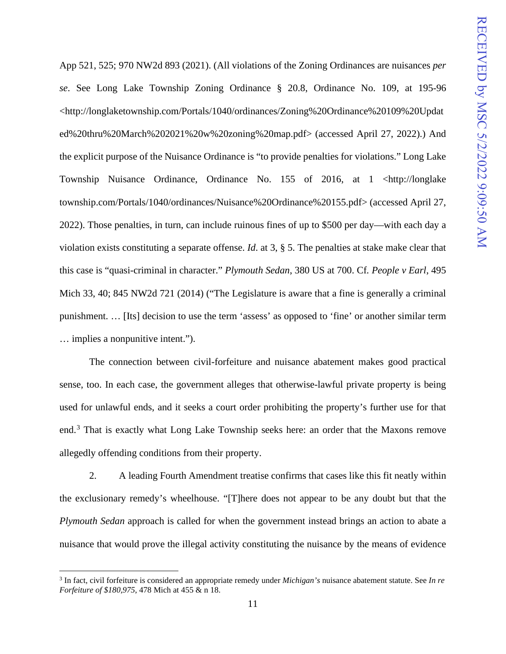App 521, 525; 970 NW2d 893 (2021). (All violations of the Zoning Ordinances are nuisances *per se*. See Long Lake Township Zoning Ordinance § 20.8, Ordinance No. 109, at 195-96 <http://longlaketownship.com/Portals/1040/ordinances/Zoning%20Ordinance%20109%20Updat ed%20thru%20March%202021%20w%20zoning%20map.pdf> (accessed April 27, 2022).) And the explicit purpose of the Nuisance Ordinance is "to provide penalties for violations." Long Lake Township Nuisance Ordinance, Ordinance No. 155 of 2016, at 1 <http://longlake township.com/Portals/1040/ordinances/Nuisance%20Ordinance%20155.pdf> (accessed April 27, 2022). Those penalties, in turn, can include ruinous fines of up to \$500 per day—with each day a violation exists constituting a separate offense. *Id*. at 3, § 5. The penalties at stake make clear that this case is "quasi-criminal in character." *Plymouth Sedan*, 380 US at 700. Cf*. People v Earl*, 495 Mich 33, 40; 845 NW2d 721 (2014) ("The Legislature is aware that a fine is generally a criminal punishment. … [Its] decision to use the term 'assess' as opposed to 'fine' or another similar term … implies a nonpunitive intent.").

The connection between civil-forfeiture and nuisance abatement makes good practical sense, too. In each case, the government alleges that otherwise-lawful private property is being used for unlawful ends, and it seeks a court order prohibiting the property's further use for that end.<sup>[3](#page-15-0)</sup> That is exactly what Long Lake Township seeks here: an order that the Maxons remove allegedly offending conditions from their property.

2. A leading Fourth Amendment treatise confirms that cases like this fit neatly within the exclusionary remedy's wheelhouse. "[T]here does not appear to be any doubt but that the *Plymouth Sedan* approach is called for when the government instead brings an action to abate a nuisance that would prove the illegal activity constituting the nuisance by the means of evidence

<span id="page-15-0"></span><sup>3</sup> In fact, civil forfeiture is considered an appropriate remedy under *Michigan's* nuisance abatement statute. See *In re Forfeiture of \$180,975*, 478 Mich at 455 & n 18.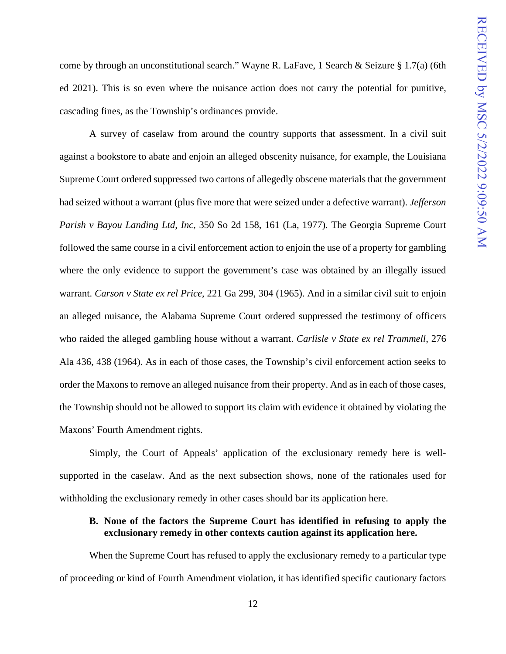come by through an unconstitutional search." Wayne R. LaFave, 1 Search & Seizure § 1.7(a) (6th ed 2021). This is so even where the nuisance action does not carry the potential for punitive, cascading fines, as the Township's ordinances provide.

A survey of caselaw from around the country supports that assessment. In a civil suit against a bookstore to abate and enjoin an alleged obscenity nuisance, for example, the Louisiana Supreme Court ordered suppressed two cartons of allegedly obscene materials that the government had seized without a warrant (plus five more that were seized under a defective warrant). *Jefferson Parish v Bayou Landing Ltd, Inc*, 350 So 2d 158, 161 (La, 1977). The Georgia Supreme Court followed the same course in a civil enforcement action to enjoin the use of a property for gambling where the only evidence to support the government's case was obtained by an illegally issued warrant. *Carson v State ex rel Price*, 221 Ga 299, 304 (1965). And in a similar civil suit to enjoin an alleged nuisance, the Alabama Supreme Court ordered suppressed the testimony of officers who raided the alleged gambling house without a warrant. *Carlisle v State ex rel Trammell*, 276 Ala 436, 438 (1964). As in each of those cases, the Township's civil enforcement action seeks to order the Maxons to remove an alleged nuisance from their property. And as in each of those cases, the Township should not be allowed to support its claim with evidence it obtained by violating the Maxons' Fourth Amendment rights.

Simply, the Court of Appeals' application of the exclusionary remedy here is wellsupported in the caselaw. And as the next subsection shows, none of the rationales used for withholding the exclusionary remedy in other cases should bar its application here.

## **B. None of the factors the Supreme Court has identified in refusing to apply the exclusionary remedy in other contexts caution against its application here.**

When the Supreme Court has refused to apply the exclusionary remedy to a particular type of proceeding or kind of Fourth Amendment violation, it has identified specific cautionary factors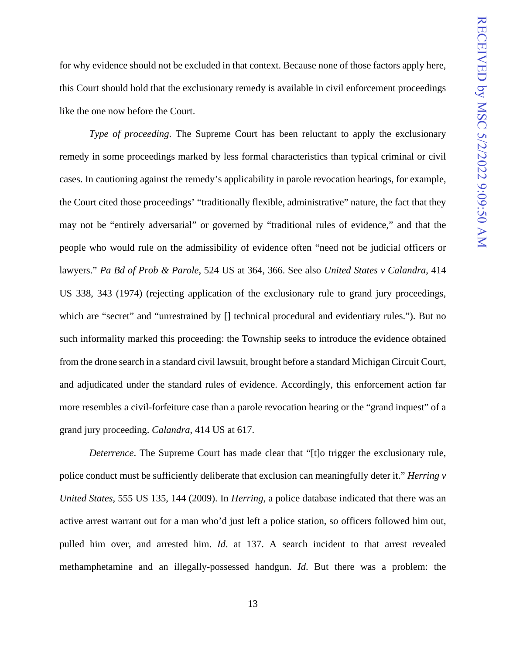for why evidence should not be excluded in that context. Because none of those factors apply here, this Court should hold that the exclusionary remedy is available in civil enforcement proceedings like the one now before the Court.

*Type of proceeding*. The Supreme Court has been reluctant to apply the exclusionary remedy in some proceedings marked by less formal characteristics than typical criminal or civil cases. In cautioning against the remedy's applicability in parole revocation hearings, for example, the Court cited those proceedings' "traditionally flexible, administrative" nature, the fact that they may not be "entirely adversarial" or governed by "traditional rules of evidence," and that the people who would rule on the admissibility of evidence often "need not be judicial officers or lawyers." *Pa Bd of Prob & Parole*, 524 US at 364, 366. See also *United States v Calandra*, 414 US 338, 343 (1974) (rejecting application of the exclusionary rule to grand jury proceedings, which are "secret" and "unrestrained by  $\lceil$  technical procedural and evidentiary rules."). But no such informality marked this proceeding: the Township seeks to introduce the evidence obtained from the drone search in a standard civil lawsuit, brought before a standard Michigan Circuit Court, and adjudicated under the standard rules of evidence. Accordingly, this enforcement action far more resembles a civil-forfeiture case than a parole revocation hearing or the "grand inquest" of a grand jury proceeding. *Calandra*, 414 US at 617.

*Deterrence*. The Supreme Court has made clear that "[t]o trigger the exclusionary rule, police conduct must be sufficiently deliberate that exclusion can meaningfully deter it." *Herring v United States*, 555 US 135, 144 (2009). In *Herring*, a police database indicated that there was an active arrest warrant out for a man who'd just left a police station, so officers followed him out, pulled him over, and arrested him. *Id*. at 137. A search incident to that arrest revealed methamphetamine and an illegally-possessed handgun. *Id*. But there was a problem: the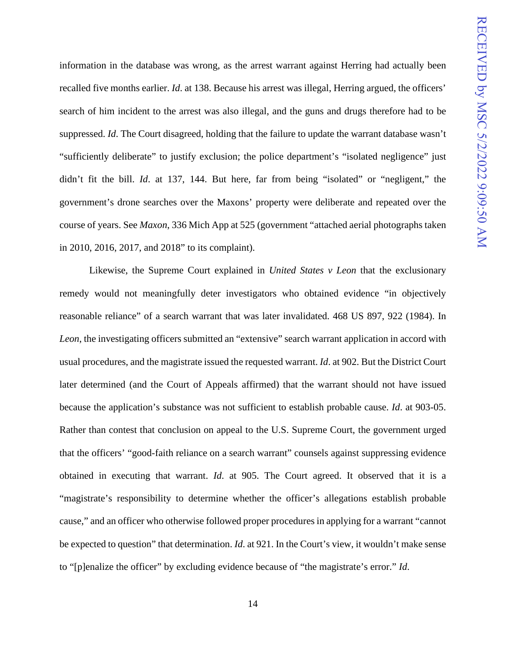information in the database was wrong, as the arrest warrant against Herring had actually been recalled five months earlier. *Id*. at 138. Because his arrest was illegal, Herring argued, the officers' search of him incident to the arrest was also illegal, and the guns and drugs therefore had to be suppressed. *Id*. The Court disagreed, holding that the failure to update the warrant database wasn't "sufficiently deliberate" to justify exclusion; the police department's "isolated negligence" just didn't fit the bill. *Id*. at 137, 144. But here, far from being "isolated" or "negligent," the government's drone searches over the Maxons' property were deliberate and repeated over the course of years. See *Maxon*, 336 Mich App at 525 (government "attached aerial photographs taken in 2010, 2016, 2017, and 2018" to its complaint).

Likewise, the Supreme Court explained in *United States v Leon* that the exclusionary remedy would not meaningfully deter investigators who obtained evidence "in objectively reasonable reliance" of a search warrant that was later invalidated. 468 US 897, 922 (1984). In *Leon*, the investigating officers submitted an "extensive" search warrant application in accord with usual procedures, and the magistrate issued the requested warrant. *Id*. at 902. But the District Court later determined (and the Court of Appeals affirmed) that the warrant should not have issued because the application's substance was not sufficient to establish probable cause. *Id*. at 903-05. Rather than contest that conclusion on appeal to the U.S. Supreme Court, the government urged that the officers' "good-faith reliance on a search warrant" counsels against suppressing evidence obtained in executing that warrant. *Id*. at 905. The Court agreed. It observed that it is a "magistrate's responsibility to determine whether the officer's allegations establish probable cause," and an officer who otherwise followed proper procedures in applying for a warrant "cannot be expected to question" that determination. *Id*. at 921. In the Court's view, it wouldn't make sense to "[p]enalize the officer" by excluding evidence because of "the magistrate's error." *Id*.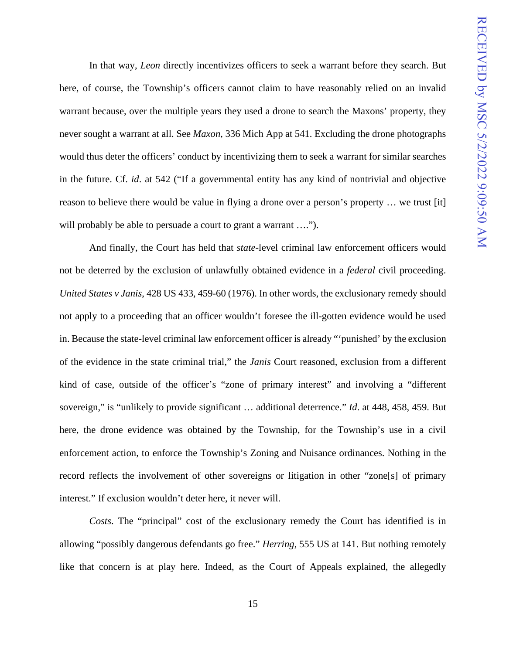In that way, *Leon* directly incentivizes officers to seek a warrant before they search. But here, of course, the Township's officers cannot claim to have reasonably relied on an invalid warrant because, over the multiple years they used a drone to search the Maxons' property, they never sought a warrant at all. See *Maxon*, 336 Mich App at 541. Excluding the drone photographs would thus deter the officers' conduct by incentivizing them to seek a warrant for similar searches in the future. Cf. *id*. at 542 ("If a governmental entity has any kind of nontrivial and objective reason to believe there would be value in flying a drone over a person's property … we trust [it] will probably be able to persuade a court to grant a warrant ....".

And finally, the Court has held that *state*-level criminal law enforcement officers would not be deterred by the exclusion of unlawfully obtained evidence in a *federal* civil proceeding. *United States v Janis*, 428 US 433, 459-60 (1976). In other words, the exclusionary remedy should not apply to a proceeding that an officer wouldn't foresee the ill-gotten evidence would be used in. Because the state-level criminal law enforcement officer is already "'punished' by the exclusion of the evidence in the state criminal trial," the *Janis* Court reasoned, exclusion from a different kind of case, outside of the officer's "zone of primary interest" and involving a "different sovereign," is "unlikely to provide significant … additional deterrence." *Id*. at 448, 458, 459. But here, the drone evidence was obtained by the Township, for the Township's use in a civil enforcement action, to enforce the Township's Zoning and Nuisance ordinances. Nothing in the record reflects the involvement of other sovereigns or litigation in other "zone[s] of primary interest." If exclusion wouldn't deter here, it never will.

*Costs*. The "principal" cost of the exclusionary remedy the Court has identified is in allowing "possibly dangerous defendants go free." *Herring*, 555 US at 141. But nothing remotely like that concern is at play here. Indeed, as the Court of Appeals explained, the allegedly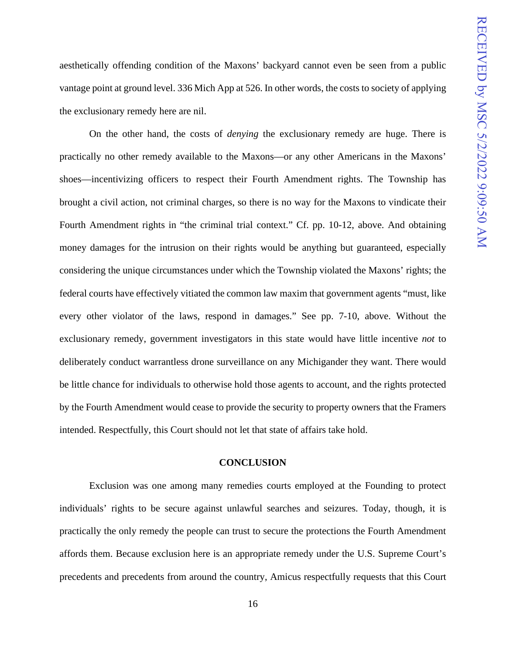aesthetically offending condition of the Maxons' backyard cannot even be seen from a public vantage point at ground level. 336 Mich App at 526. In other words, the costs to society of applying the exclusionary remedy here are nil.

On the other hand, the costs of *denying* the exclusionary remedy are huge. There is practically no other remedy available to the Maxons—or any other Americans in the Maxons' shoes—incentivizing officers to respect their Fourth Amendment rights. The Township has brought a civil action, not criminal charges, so there is no way for the Maxons to vindicate their Fourth Amendment rights in "the criminal trial context." Cf. pp. 10-12, above. And obtaining money damages for the intrusion on their rights would be anything but guaranteed, especially considering the unique circumstances under which the Township violated the Maxons' rights; the federal courts have effectively vitiated the common law maxim that government agents "must, like every other violator of the laws, respond in damages." See pp. 7-10, above. Without the exclusionary remedy, government investigators in this state would have little incentive *not* to deliberately conduct warrantless drone surveillance on any Michigander they want. There would be little chance for individuals to otherwise hold those agents to account, and the rights protected by the Fourth Amendment would cease to provide the security to property owners that the Framers intended. Respectfully, this Court should not let that state of affairs take hold.

#### **CONCLUSION**

Exclusion was one among many remedies courts employed at the Founding to protect individuals' rights to be secure against unlawful searches and seizures. Today, though, it is practically the only remedy the people can trust to secure the protections the Fourth Amendment affords them. Because exclusion here is an appropriate remedy under the U.S. Supreme Court's precedents and precedents from around the country, Amicus respectfully requests that this Court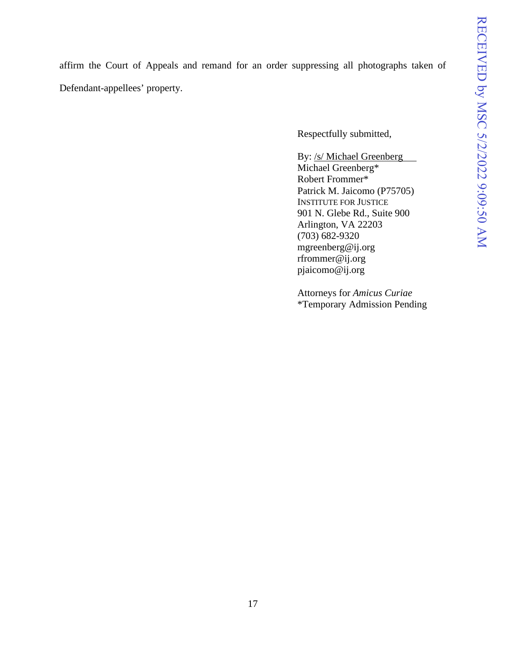affirm the Court of Appeals and remand for an order suppressing all photographs taken of Defendant-appellees' property.

Respectfully submitted,

By: /s/ Michael Greenberg Michael Greenberg\* Robert Frommer\* Patrick M. Jaicomo (P75705) INSTITUTE FOR JUSTICE 901 N. Glebe Rd., Suite 900 Arlington, VA 22203 (703) 682-9320 mgreenberg@ij.org rfrommer@ij.org pjaicomo@ij.org

Attorneys for *Amicus Curiae* \*Temporary Admission Pending